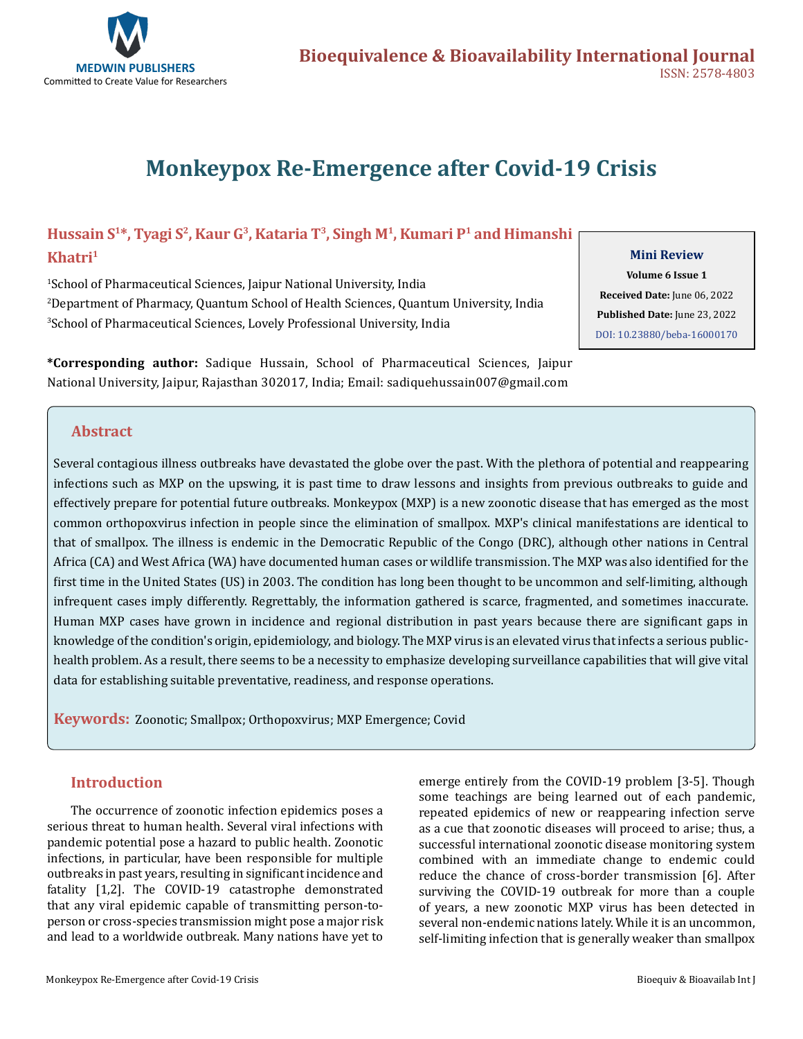

# **Monkeypox Re-Emergence after Covid-19 Crisis**

## **Hussain S1\*, Tyagi S2, Kaur G3, Kataria T3, Singh M1, Kumari P1 and Himanshi Khatri1**

1 School of Pharmaceutical Sciences, Jaipur National University, India 2 Department of Pharmacy, Quantum School of Health Sciences, Quantum University, India 3 School of Pharmaceutical Sciences, Lovely Professional University, India

**\*Corresponding author:** Sadique Hussain, School of Pharmaceutical Sciences, Jaipur National University, Jaipur, Rajasthan 302017, India; Email: sadiquehussain007@gmail.com

#### **Mini Review**

**Volume 6 Issue 1 Received Date:** June 06, 2022 **Published Date:** June 23, 2022 [DOI: 10.23880/beba-16000170](https://doi.org/10.23880/beba-16000170)

## **Abstract**

Several contagious illness outbreaks have devastated the globe over the past. With the plethora of potential and reappearing infections such as MXP on the upswing, it is past time to draw lessons and insights from previous outbreaks to guide and effectively prepare for potential future outbreaks. Monkeypox (MXP) is a new zoonotic disease that has emerged as the most common orthopoxvirus infection in people since the elimination of smallpox. MXP's clinical manifestations are identical to that of smallpox. The illness is endemic in the Democratic Republic of the Congo (DRC), although other nations in Central Africa (CA) and West Africa (WA) have documented human cases or wildlife transmission. The MXP was also identified for the first time in the United States (US) in 2003. The condition has long been thought to be uncommon and self-limiting, although infrequent cases imply differently. Regrettably, the information gathered is scarce, fragmented, and sometimes inaccurate. Human MXP cases have grown in incidence and regional distribution in past years because there are significant gaps in knowledge of the condition's origin, epidemiology, and biology. The MXP virus is an elevated virus that infects a serious publichealth problem. As a result, there seems to be a necessity to emphasize developing surveillance capabilities that will give vital data for establishing suitable preventative, readiness, and response operations.

**Keywords:** Zoonotic; Smallpox; Orthopoxvirus; MXP Emergence; Covid

## **Introduction**

The occurrence of zoonotic infection epidemics poses a serious threat to human health. Several viral infections with pandemic potential pose a hazard to public health. Zoonotic infections, in particular, have been responsible for multiple outbreaks in past years, resulting in significant incidence and fatality [1,2]. The COVID-19 catastrophe demonstrated that any viral epidemic capable of transmitting person-toperson or cross-species transmission might pose a major risk and lead to a worldwide outbreak. Many nations have yet to

emerge entirely from the COVID-19 problem [3-5]. Though some teachings are being learned out of each pandemic, repeated epidemics of new or reappearing infection serve as a cue that zoonotic diseases will proceed to arise; thus, a successful international zoonotic disease monitoring system combined with an immediate change to endemic could reduce the chance of cross-border transmission [6]. After surviving the COVID-19 outbreak for more than a couple of years, a new zoonotic MXP virus has been detected in several non-endemic nations lately. While it is an uncommon, self-limiting infection that is generally weaker than smallpox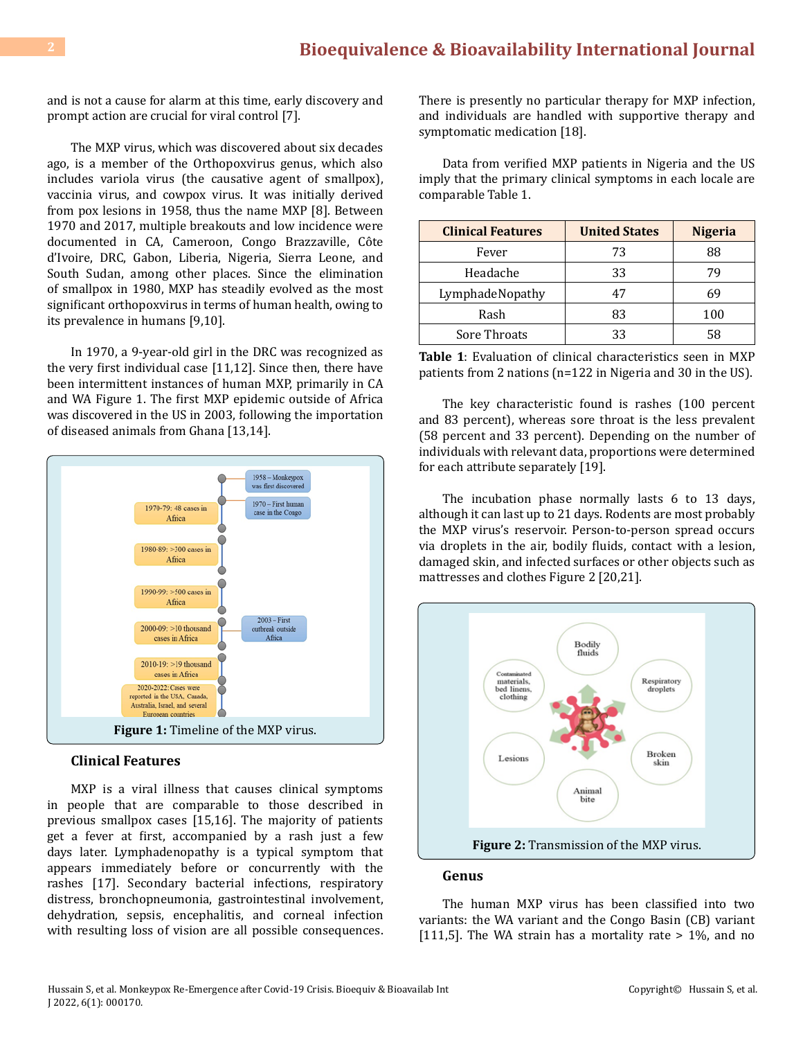and is not a cause for alarm at this time, early discovery and prompt action are crucial for viral control [7].

The MXP virus, which was discovered about six decades ago, is a member of the Orthopoxvirus genus, which also includes variola virus (the causative agent of smallpox), vaccinia virus, and cowpox virus. It was initially derived from pox lesions in 1958, thus the name MXP [8]. Between 1970 and 2017, multiple breakouts and low incidence were documented in CA, Cameroon, Congo Brazzaville, Côte d'Ivoire, DRC, Gabon, Liberia, Nigeria, Sierra Leone, and South Sudan, among other places. Since the elimination of smallpox in 1980, MXP has steadily evolved as the most significant orthopoxvirus in terms of human health, owing to its prevalence in humans [9,10].

In 1970, a 9-year-old girl in the DRC was recognized as the very first individual case [11,12]. Since then, there have been intermittent instances of human MXP, primarily in CA and WA Figure 1. The first MXP epidemic outside of Africa was discovered in the US in 2003, following the importation of diseased animals from Ghana [13,14].



## **Clinical Features**

MXP is a viral illness that causes clinical symptoms in people that are comparable to those described in previous smallpox cases [15,16]. The majority of patients get a fever at first, accompanied by a rash just a few days later. Lymphadenopathy is a typical symptom that appears immediately before or concurrently with the rashes [17]. Secondary bacterial infections, respiratory distress, bronchopneumonia, gastrointestinal involvement, dehydration, sepsis, encephalitis, and corneal infection with resulting loss of vision are all possible consequences. There is presently no particular therapy for MXP infection, and individuals are handled with supportive therapy and symptomatic medication [18].

Data from verified MXP patients in Nigeria and the US imply that the primary clinical symptoms in each locale are comparable Table 1.

| <b>Clinical Features</b> | <b>United States</b> | <b>Nigeria</b> |
|--------------------------|----------------------|----------------|
| Fever                    | 73                   | 88             |
| Headache                 | 33                   |                |
| LymphadeNopathy          | 47                   | 69             |
| Rash                     | 83                   | 100            |
| Sore Throats             | 33                   | 58             |

**Table 1**: Evaluation of clinical characteristics seen in MXP patients from 2 nations (n=122 in Nigeria and 30 in the US).

The key characteristic found is rashes (100 percent and 83 percent), whereas sore throat is the less prevalent (58 percent and 33 percent). Depending on the number of individuals with relevant data, proportions were determined for each attribute separately [19].

The incubation phase normally lasts 6 to 13 days, although it can last up to 21 days. Rodents are most probably the MXP virus's reservoir. Person-to-person spread occurs via droplets in the air, bodily fluids, contact with a lesion, damaged skin, and infected surfaces or other objects such as mattresses and clothes Figure 2 [20,21].



#### **Genus**

The human MXP virus has been classified into two variants: the WA variant and the Congo Basin (CB) variant [111,5]. The WA strain has a mortality rate  $> 1\%$ , and no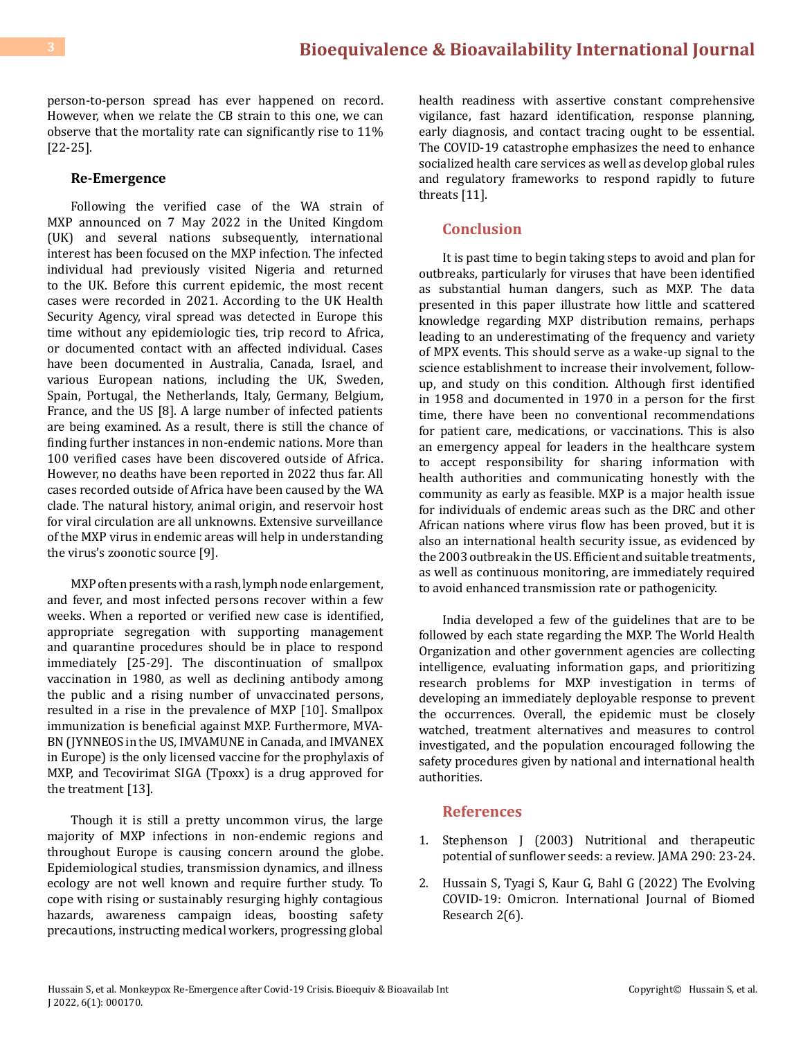person-to-person spread has ever happened on record. However, when we relate the CB strain to this one, we can observe that the mortality rate can significantly rise to 11% [22-25].

#### **Re-Emergence**

Following the verified case of the WA strain of MXP announced on 7 May 2022 in the United Kingdom (UK) and several nations subsequently, international interest has been focused on the MXP infection. The infected individual had previously visited Nigeria and returned to the UK. Before this current epidemic, the most recent cases were recorded in 2021. According to the UK Health Security Agency, viral spread was detected in Europe this time without any epidemiologic ties, trip record to Africa, or documented contact with an affected individual. Cases have been documented in Australia, Canada, Israel, and various European nations, including the UK, Sweden, Spain, Portugal, the Netherlands, Italy, Germany, Belgium, France, and the US [8]. A large number of infected patients are being examined. As a result, there is still the chance of finding further instances in non-endemic nations. More than 100 verified cases have been discovered outside of Africa. However, no deaths have been reported in 2022 thus far. All cases recorded outside of Africa have been caused by the WA clade. The natural history, animal origin, and reservoir host for viral circulation are all unknowns. Extensive surveillance of the MXP virus in endemic areas will help in understanding the virus's zoonotic source [9].

MXP often presents with a rash, lymph node enlargement, and fever, and most infected persons recover within a few weeks. When a reported or verified new case is identified, appropriate segregation with supporting management and quarantine procedures should be in place to respond immediately [25-29]. The discontinuation of smallpox vaccination in 1980, as well as declining antibody among the public and a rising number of unvaccinated persons, resulted in a rise in the prevalence of MXP [10]. Smallpox immunization is beneficial against MXP. Furthermore, MVA-BN (JYNNEOS in the US, IMVAMUNE in Canada, and IMVANEX in Europe) is the only licensed vaccine for the prophylaxis of MXP, and Tecovirimat SIGA (Tpoxx) is a drug approved for the treatment [13].

Though it is still a pretty uncommon virus, the large majority of MXP infections in non-endemic regions and throughout Europe is causing concern around the globe. Epidemiological studies, transmission dynamics, and illness ecology are not well known and require further study. To cope with rising or sustainably resurging highly contagious hazards, awareness campaign ideas, boosting safety precautions, instructing medical workers, progressing global health readiness with assertive constant comprehensive vigilance, fast hazard identification, response planning, early diagnosis, and contact tracing ought to be essential. The COVID-19 catastrophe emphasizes the need to enhance socialized health care services as well as develop global rules and regulatory frameworks to respond rapidly to future threats [11].

#### **Conclusion**

It is past time to begin taking steps to avoid and plan for outbreaks, particularly for viruses that have been identified as substantial human dangers, such as MXP. The data presented in this paper illustrate how little and scattered knowledge regarding MXP distribution remains, perhaps leading to an underestimating of the frequency and variety of MPX events. This should serve as a wake-up signal to the science establishment to increase their involvement, followup, and study on this condition. Although first identified in 1958 and documented in 1970 in a person for the first time, there have been no conventional recommendations for patient care, medications, or vaccinations. This is also an emergency appeal for leaders in the healthcare system to accept responsibility for sharing information with health authorities and communicating honestly with the community as early as feasible. MXP is a major health issue for individuals of endemic areas such as the DRC and other African nations where virus flow has been proved, but it is also an international health security issue, as evidenced by the 2003 outbreak in the US. Efficient and suitable treatments, as well as continuous monitoring, are immediately required to avoid enhanced transmission rate or pathogenicity.

India developed a few of the guidelines that are to be followed by each state regarding the MXP. The World Health Organization and other government agencies are collecting intelligence, evaluating information gaps, and prioritizing research problems for MXP investigation in terms of developing an immediately deployable response to prevent the occurrences. Overall, the epidemic must be closely watched, treatment alternatives and measures to control investigated, and the population encouraged following the safety procedures given by national and international health authorities.

### **References**

- 1. Stephenson J (2003) Nutritional and therapeutic potential of sunflower seeds: a review. JAMA 290: 23-24.
- 2. [Hussain S, Tyagi S, Kaur G, Bahl G \(2022\) The Evolving](https://www.auctoresonline.org/article/the-evolving-covid-19-omicron)  [COVID-19: Omicron. International Journal of Biomed](https://www.auctoresonline.org/article/the-evolving-covid-19-omicron) [Research 2\(6\).](https://www.auctoresonline.org/article/the-evolving-covid-19-omicron)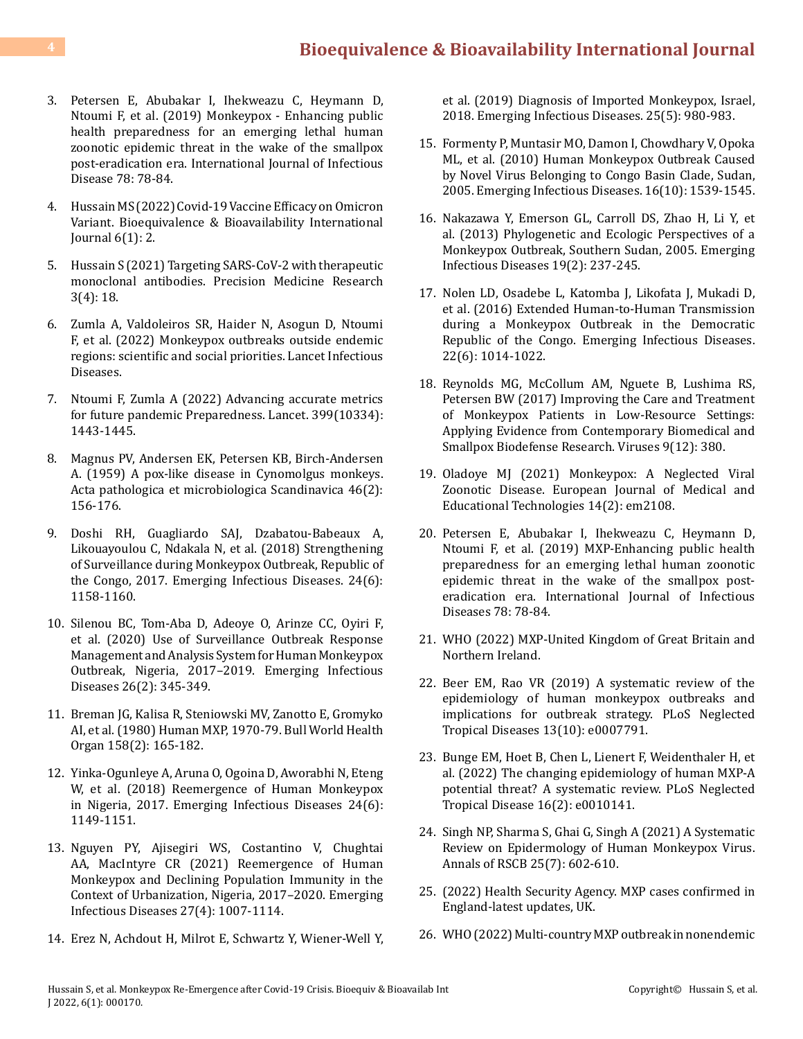- 3. [Petersen E, Abubakar I, Ihekweazu C, Heymann D,](https://pubmed.ncbi.nlm.nih.gov/30453097/) [Ntoumi F, et al. \(2019\) Monkeypox - Enhancing public](https://pubmed.ncbi.nlm.nih.gov/30453097/) [health preparedness for an emerging lethal human](https://pubmed.ncbi.nlm.nih.gov/30453097/) [zoonotic epidemic threat in the wake of the smallpox](https://pubmed.ncbi.nlm.nih.gov/30453097/) [post-eradication era. International Journal of Infectious](https://pubmed.ncbi.nlm.nih.gov/30453097/) [Disease 78: 78-84.](https://pubmed.ncbi.nlm.nih.gov/30453097/)
- 4. [Hussain MS \(2022\) Covid-19 Vaccine Efficacy on Omicron](https://medwinpublishers.com/BEBA/covid-19-vaccine-efficacy-on-omicron-variant.pdf) [Variant. Bioequivalence & Bioavailability International](https://medwinpublishers.com/BEBA/covid-19-vaccine-efficacy-on-omicron-variant.pdf) [Journal 6\(1\): 2.](https://medwinpublishers.com/BEBA/covid-19-vaccine-efficacy-on-omicron-variant.pdf)
- 5. [Hussain S \(2021\) Targeting SARS-CoV-2 with therapeutic](https://www.tmrjournals.com/public/articlePDF/20211208/7af2a706d14e965d4d6206bb39b58245.pdf) [monoclonal antibodies. Precision Medicine Research](https://www.tmrjournals.com/public/articlePDF/20211208/7af2a706d14e965d4d6206bb39b58245.pdf) [3\(4\): 18.](https://www.tmrjournals.com/public/articlePDF/20211208/7af2a706d14e965d4d6206bb39b58245.pdf)
- 6. [Zumla A, Valdoleiros SR, Haider N, Asogun D, Ntoumi](https://www.thelancet.com/journals/laninf/article/PIIS1473-3099(22)00354-1/fulltext) [F, et al. \(2022\) Monkeypox outbreaks outside endemic](https://www.thelancet.com/journals/laninf/article/PIIS1473-3099(22)00354-1/fulltext) [regions: scientific and social priorities. Lancet Infectious](https://www.thelancet.com/journals/laninf/article/PIIS1473-3099(22)00354-1/fulltext) [Diseases.](https://www.thelancet.com/journals/laninf/article/PIIS1473-3099(22)00354-1/fulltext)
- 7. [Ntoumi F, Zumla A \(2022\) Advancing accurate metrics](https://www.thelancet.com/journals/lancet/article/PIIS0140-6736(22)00425-1/fulltext) [for future pandemic Preparedness. Lancet. 399\(10334\):](https://www.thelancet.com/journals/lancet/article/PIIS0140-6736(22)00425-1/fulltext) [1443-1445.](https://www.thelancet.com/journals/lancet/article/PIIS0140-6736(22)00425-1/fulltext)
- 8. [Magnus PV, Andersen EK, Petersen KB, Birch-Andersen](https://onlinelibrary.wiley.com/doi/abs/10.1111/j.1699-0463.1959.tb00328.x) [A. \(1959\) A pox-like disease in Cynomolgus monkeys.](https://onlinelibrary.wiley.com/doi/abs/10.1111/j.1699-0463.1959.tb00328.x) [Acta pathologica et microbiologica Scandinavica 46\(2\):](https://onlinelibrary.wiley.com/doi/abs/10.1111/j.1699-0463.1959.tb00328.x) [156-176.](https://onlinelibrary.wiley.com/doi/abs/10.1111/j.1699-0463.1959.tb00328.x)
- 9. [Doshi RH, Guagliardo SAJ, Dzabatou-Babeaux A,](https://wwwnc.cdc.gov/eid/article/24/6/18-0248_article) [Likouayoulou C, Ndakala N, et al. \(2018\) Strengthening](https://wwwnc.cdc.gov/eid/article/24/6/18-0248_article) [of Surveillance during Monkeypox Outbreak, Republic of](https://wwwnc.cdc.gov/eid/article/24/6/18-0248_article) [the Congo, 2017. Emerging Infectious Diseases. 24\(6\):](https://wwwnc.cdc.gov/eid/article/24/6/18-0248_article) [1158-1160.](https://wwwnc.cdc.gov/eid/article/24/6/18-0248_article)
- 10. [Silenou BC, Tom-Aba D, Adeoye O, Arinze CC, Oyiri F,](https://pubmed.ncbi.nlm.nih.gov/31961314/) [et al. \(2020\) Use of Surveillance Outbreak Response](https://pubmed.ncbi.nlm.nih.gov/31961314/) [Management and Analysis System for Human Monkeypox](https://pubmed.ncbi.nlm.nih.gov/31961314/) [Outbreak, Nigeria, 2017–2019. Emerging Infectious](https://pubmed.ncbi.nlm.nih.gov/31961314/) [Diseases 26\(2\): 345-349.](https://pubmed.ncbi.nlm.nih.gov/31961314/)
- 11. Breman JG, Kalisa R, Steniowski MV, Zanotto E, Gromyko AI, et al. (1980) Human MXP, 1970-79. Bull World Health Organ 158(2): 165-182.
- 12. [Yinka-Ogunleye A, Aruna O, Ogoina D, Aworabhi N, Eteng](https://pubmed.ncbi.nlm.nih.gov/29619921/) [W, et al. \(2018\) Reemergence of Human Monkeypox](https://pubmed.ncbi.nlm.nih.gov/29619921/) [in Nigeria, 2017. Emerging Infectious Diseases 24\(6\):](https://pubmed.ncbi.nlm.nih.gov/29619921/) [1149-1151.](https://pubmed.ncbi.nlm.nih.gov/29619921/)
- 13. [Nguyen PY, Ajisegiri WS, Costantino V, Chughtai](https://pubmed.ncbi.nlm.nih.gov/33756100/) [AA, MacIntyre CR \(2021\) Reemergence of Human](https://pubmed.ncbi.nlm.nih.gov/33756100/) [Monkeypox and Declining Population Immunity in the](https://pubmed.ncbi.nlm.nih.gov/33756100/) [Context of Urbanization, Nigeria, 2017–2020. Emerging](https://pubmed.ncbi.nlm.nih.gov/33756100/) [Infectious Diseases 27\(4\): 1007-1114.](https://pubmed.ncbi.nlm.nih.gov/33756100/)
- 14. [Erez N, Achdout H, Milrot E, Schwartz Y, Wiener-Well Y,](https://pubmed.ncbi.nlm.nih.gov/30848724/)

[et al. \(2019\) Diagnosis of Imported Monkeypox, Israel,](https://pubmed.ncbi.nlm.nih.gov/30848724/) [2018. Emerging Infectious Diseases. 25\(5\): 980-983.](https://pubmed.ncbi.nlm.nih.gov/30848724/)

- 15. [Formenty P, Muntasir MO, Damon I, Chowdhary V, Opoka](https://pubmed.ncbi.nlm.nih.gov/20875278/)  [ML, et al. \(2010\) Human Monkeypox Outbreak Caused](https://pubmed.ncbi.nlm.nih.gov/20875278/) [by Novel Virus Belonging to Congo Basin Clade, Sudan,](https://pubmed.ncbi.nlm.nih.gov/20875278/)  [2005. Emerging Infectious Diseases. 16\(10\): 1539-1545.](https://pubmed.ncbi.nlm.nih.gov/20875278/)
- 16. [Nakazawa Y, Emerson GL, Carroll DS, Zhao H, Li Y, et](https://pubmed.ncbi.nlm.nih.gov/23347770/)  [al. \(2013\) Phylogenetic and Ecologic Perspectives of a](https://pubmed.ncbi.nlm.nih.gov/23347770/) [Monkeypox Outbreak, Southern Sudan, 2005. Emerging](https://pubmed.ncbi.nlm.nih.gov/23347770/)  [Infectious Diseases 19\(2\): 237-245.](https://pubmed.ncbi.nlm.nih.gov/23347770/)
- 17. [Nolen LD, Osadebe L, Katomba J, Likofata J, Mukadi D,](https://pubmed.ncbi.nlm.nih.gov/27191380/) [et al. \(2016\) Extended Human-to-Human Transmission](https://pubmed.ncbi.nlm.nih.gov/27191380/) [during a Monkeypox Outbreak in the Democratic](https://pubmed.ncbi.nlm.nih.gov/27191380/)  [Republic of the Congo. Emerging Infectious Diseases.](https://pubmed.ncbi.nlm.nih.gov/27191380/) [22\(6\): 1014-1022.](https://pubmed.ncbi.nlm.nih.gov/27191380/)
- 18. [Reynolds MG, McCollum AM, Nguete B, Lushima RS,](https://pubmed.ncbi.nlm.nih.gov/29231870/) [Petersen BW \(2017\) Improving the Care and Treatment](https://pubmed.ncbi.nlm.nih.gov/29231870/)  [of Monkeypox Patients in Low-Resource Settings:](https://pubmed.ncbi.nlm.nih.gov/29231870/)  [Applying Evidence from Contemporary Biomedical and](https://pubmed.ncbi.nlm.nih.gov/29231870/) [Smallpox Biodefense Research. Viruses 9\(12\): 380.](https://pubmed.ncbi.nlm.nih.gov/29231870/)
- 19. [Oladoye MJ \(2021\) Monkeypox: A Neglected Viral](https://www.ejmets.com/article/monkeypox-a-neglected-viral-zoonotic-disease-10911)  [Zoonotic Disease. European Journal of Medical and](https://www.ejmets.com/article/monkeypox-a-neglected-viral-zoonotic-disease-10911) [Educational Technologies 14\(2\): em2108.](https://www.ejmets.com/article/monkeypox-a-neglected-viral-zoonotic-disease-10911)
- 20. [Petersen E, Abubakar I, Ihekweazu C, Heymann D,](https://pubmed.ncbi.nlm.nih.gov/30453097/)  [Ntoumi F, et al. \(2019\) MXP-Enhancing public health](https://pubmed.ncbi.nlm.nih.gov/30453097/)  [preparedness for an emerging lethal human zoonotic](https://pubmed.ncbi.nlm.nih.gov/30453097/) [epidemic threat in the wake of the smallpox post](https://pubmed.ncbi.nlm.nih.gov/30453097/)[eradication era. International Journal of Infectious](https://pubmed.ncbi.nlm.nih.gov/30453097/) [Diseases 78: 78-84.](https://pubmed.ncbi.nlm.nih.gov/30453097/)
- 21. WHO (2022) MXP-United Kingdom of Great Britain and Northern Ireland.
- 22. [Beer EM, Rao VR \(2019\) A systematic review of the](https://pubmed.ncbi.nlm.nih.gov/31618206/) [epidemiology of human monkeypox outbreaks and](https://pubmed.ncbi.nlm.nih.gov/31618206/)  [implications for outbreak strategy. PLoS Neglected](https://pubmed.ncbi.nlm.nih.gov/31618206/) [Tropical Diseases 13\(10\): e0007791.](https://pubmed.ncbi.nlm.nih.gov/31618206/)
- 23. [Bunge EM, Hoet B, Chen L, Lienert F, Weidenthaler H, et](https://pubmed.ncbi.nlm.nih.gov/35148313/)  [al. \(2022\) The changing epidemiology of human MXP-A](https://pubmed.ncbi.nlm.nih.gov/35148313/)  [potential threat? A systematic review. PLoS Neglected](https://pubmed.ncbi.nlm.nih.gov/35148313/) [Tropical Disease 16\(2\): e0010141.](https://pubmed.ncbi.nlm.nih.gov/35148313/)
- 24. [Singh NP, Sharma S, Ghai G, Singh A \(2021\) A Systematic](https://annalsofrscb.ro/index.php/journal/article/view/9988)  [Review on Epidermology of Human Monkeypox Virus.](https://annalsofrscb.ro/index.php/journal/article/view/9988) [Annals of RSCB 25\(7\): 602-610.](https://annalsofrscb.ro/index.php/journal/article/view/9988)
- 25. (2022) Health Security Agency. MXP cases confirmed in England-latest updates, UK.
- 26. WHO (2022) Multi-country MXP outbreak in nonendemic